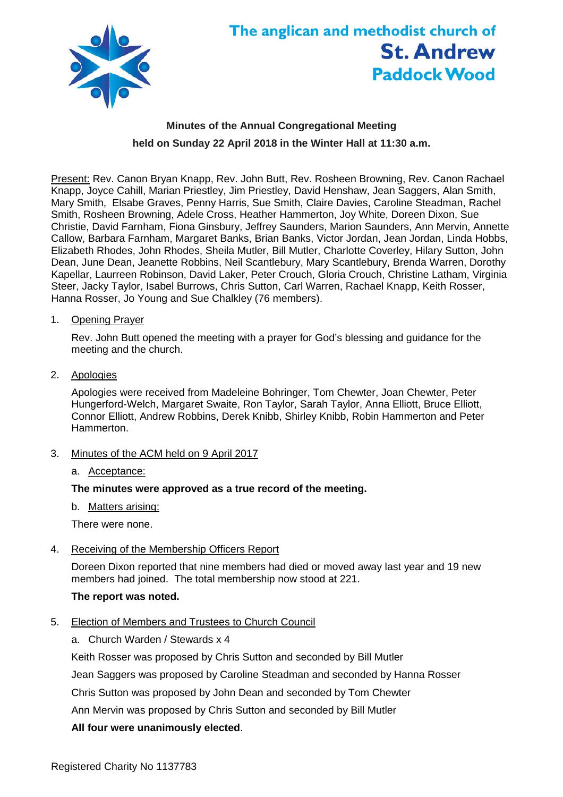

# The anglican and methodist church of **St. Andrew Paddock Wood**

# **Minutes of the Annual Congregational Meeting held on Sunday 22 April 2018 in the Winter Hall at 11:30 a.m.**

Present: Rev. Canon Bryan Knapp, Rev. John Butt, Rev. Rosheen Browning, Rev. Canon Rachael Knapp, Joyce Cahill, Marian Priestley, Jim Priestley, David Henshaw, Jean Saggers, Alan Smith, Mary Smith, Elsabe Graves, Penny Harris, Sue Smith, Claire Davies, Caroline Steadman, Rachel Smith, Rosheen Browning, Adele Cross, Heather Hammerton, Joy White, Doreen Dixon, Sue Christie, David Farnham, Fiona Ginsbury, Jeffrey Saunders, Marion Saunders, Ann Mervin, Annette Callow, Barbara Farnham, Margaret Banks, Brian Banks, Victor Jordan, Jean Jordan, Linda Hobbs, Elizabeth Rhodes, John Rhodes, Sheila Mutler, Bill Mutler, Charlotte Coverley, Hilary Sutton, John Dean, June Dean, Jeanette Robbins, Neil Scantlebury, Mary Scantlebury, Brenda Warren, Dorothy Kapellar, Laurreen Robinson, David Laker, Peter Crouch, Gloria Crouch, Christine Latham, Virginia Steer, Jacky Taylor, Isabel Burrows, Chris Sutton, Carl Warren, Rachael Knapp, Keith Rosser, Hanna Rosser, Jo Young and Sue Chalkley (76 members).

1. OpeningPrayer

Rev. John Butt opened the meeting with a prayer for God's blessing and guidance for the meeting and the church.

2. Apologies

Apologies were received from Madeleine Bohringer, Tom Chewter, Joan Chewter, Peter Hungerford-Welch, Margaret Swaite, Ron Taylor, Sarah Taylor, Anna Elliott, Bruce Elliott, Connor Elliott, Andrew Robbins, Derek Knibb, Shirley Knibb, Robin Hammerton and Peter Hammerton.

- 3. Minutes of the ACM held on 9 April 2017
	- a. Acceptance:

# **The minutes were approved as a true record of the meeting.**

b. Matters arising:

There were none.

4. Receiving of the Membership Officers Report

Doreen Dixon reported that nine members had died or moved away last year and 19 new members had joined. The total membership now stood at 221.

# **The report was noted.**

- 5. Election of Members and Trustees to Church Council
	- a. Church Warden / Stewards x 4

Keith Rosser was proposed by Chris Sutton and seconded by Bill Mutler

Jean Saggers was proposed by Caroline Steadman and seconded by Hanna Rosser

Chris Sutton was proposed by John Dean and seconded by Tom Chewter

Ann Mervin was proposed by Chris Sutton and seconded by Bill Mutler

# **All four were unanimously elected**.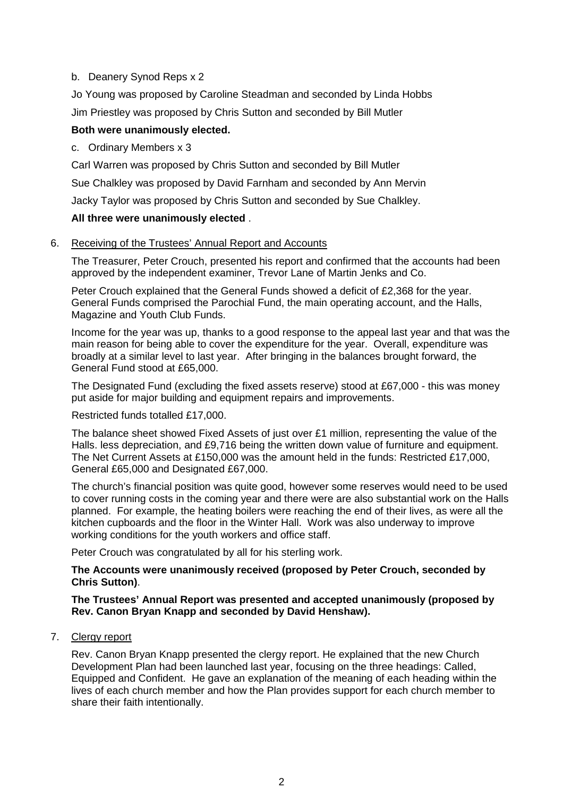# b. Deanery Synod Reps x 2

Jo Young was proposed by Caroline Steadman and seconded by Linda Hobbs Jim Priestley was proposed by Chris Sutton and seconded by Bill Mutler

# **Both were unanimously elected.**

# c. Ordinary Members x 3

Carl Warren was proposed by Chris Sutton and seconded by Bill Mutler

Sue Chalkley was proposed by David Farnham and seconded by Ann Mervin

Jacky Taylor was proposed by Chris Sutton and seconded by Sue Chalkley.

# **All three were unanimously elected** .

# 6. Receiving of the Trustees' Annual Report and Accounts

The Treasurer, Peter Crouch, presented his report and confirmed that the accounts had been approved by the independent examiner, Trevor Lane of Martin Jenks and Co.

Peter Crouch explained that the General Funds showed a deficit of £2,368 for the year. General Funds comprised the Parochial Fund, the main operating account, and the Halls, Magazine and Youth Club Funds.

Income for the year was up, thanks to a good response to the appeal last year and that was the main reason for being able to cover the expenditure for the year. Overall, expenditure was broadly at a similar level to last year. After bringing in the balances brought forward, the General Fund stood at £65,000.

The Designated Fund (excluding the fixed assets reserve) stood at £67,000 - this was money put aside for major building and equipment repairs and improvements.

Restricted funds totalled £17,000.

The balance sheet showed Fixed Assets of just over £1 million, representing the value of the Halls. less depreciation, and £9,716 being the written down value of furniture and equipment. The Net Current Assets at £150,000 was the amount held in the funds: Restricted £17,000, General £65,000 and Designated £67,000.

The church's financial position was quite good, however some reserves would need to be used to cover running costs in the coming year and there were are also substantial work on the Halls planned. For example, the heating boilers were reaching the end of their lives, as were all the kitchen cupboards and the floor in the Winter Hall. Work was also underway to improve working conditions for the youth workers and office staff.

Peter Crouch was congratulated by all for his sterling work.

# **The Accounts were unanimously received (proposed by Peter Crouch, seconded by Chris Sutton)**.

# **The Trustees' Annual Report was presented and accepted unanimously (proposed by Rev. Canon Bryan Knapp and seconded by David Henshaw).**

7. Clergy report

Rev. Canon Bryan Knapp presented the clergy report. He explained that the new Church Development Plan had been launched last year, focusing on the three headings: Called, Equipped and Confident. He gave an explanation of the meaning of each heading within the lives of each church member and how the Plan provides support for each church member to share their faith intentionally.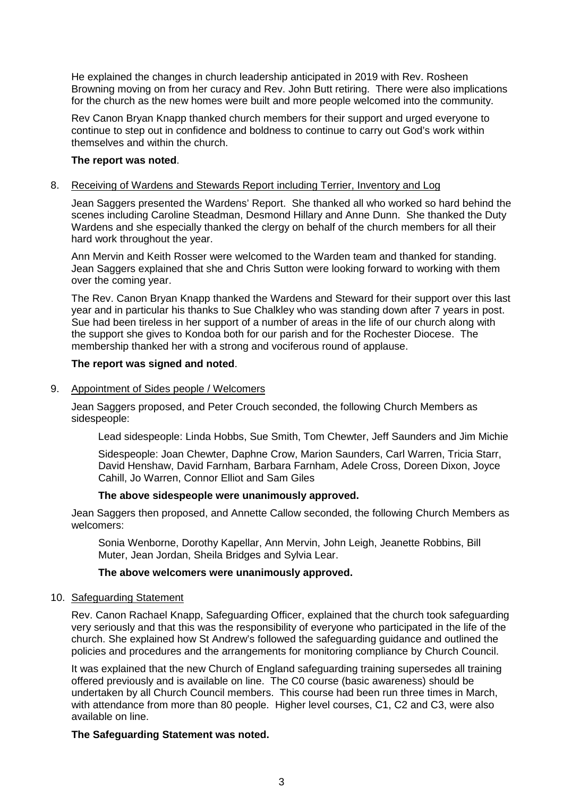He explained the changes in church leadership anticipated in 2019 with Rev. Rosheen Browning moving on from her curacy and Rev. John Butt retiring. There were also implications for the church as the new homes were built and more people welcomed into the community.

Rev Canon Bryan Knapp thanked church members for their support and urged everyone to continue to step out in confidence and boldness to continue to carry out God's work within themselves and within the church.

#### **The report was noted**.

#### 8. Receiving of Wardens and Stewards Report including Terrier, Inventory and Log

Jean Saggers presented the Wardens' Report. She thanked all who worked so hard behind the scenes including Caroline Steadman, Desmond Hillary and Anne Dunn. She thanked the Duty Wardens and she especially thanked the clergy on behalf of the church members for all their hard work throughout the year.

Ann Mervin and Keith Rosser were welcomed to the Warden team and thanked for standing. Jean Saggers explained that she and Chris Sutton were looking forward to working with them over the coming year.

The Rev. Canon Bryan Knapp thanked the Wardens and Steward for their support over this last year and in particular his thanks to Sue Chalkley who was standing down after 7 years in post. Sue had been tireless in her support of a number of areas in the life of our church along with the support she gives to Kondoa both for our parish and for the Rochester Diocese. The membership thanked her with a strong and vociferous round of applause.

#### **The report was signed and noted**.

9. Appointment of Sides people / Welcomers

Jean Saggers proposed, and Peter Crouch seconded, the following Church Members as sidespeople:

Lead sidespeople: Linda Hobbs, Sue Smith, Tom Chewter, Jeff Saunders and Jim Michie

Sidespeople: Joan Chewter, Daphne Crow, Marion Saunders, Carl Warren, Tricia Starr, David Henshaw, David Farnham, Barbara Farnham, Adele Cross, Doreen Dixon, Joyce Cahill, Jo Warren, Connor Elliot and Sam Giles

#### **The above sidespeople were unanimously approved.**

Jean Saggers then proposed, and Annette Callow seconded, the following Church Members as welcomers:

Sonia Wenborne, Dorothy Kapellar, Ann Mervin, John Leigh, Jeanette Robbins, Bill Muter, Jean Jordan, Sheila Bridges and Sylvia Lear.

#### **The above welcomers were unanimously approved.**

#### 10. Safeguarding Statement

Rev. Canon Rachael Knapp, Safeguarding Officer, explained that the church took safeguarding very seriously and that this was the responsibility of everyone who participated in the life of the church. She explained how St Andrew's followed the safeguarding guidance and outlined the policies and procedures and the arrangements for monitoring compliance by Church Council.

It was explained that the new Church of England safeguarding training supersedes all training offered previously and is available on line. The C0 course (basic awareness) should be undertaken by all Church Council members. This course had been run three times in March, with attendance from more than 80 people. Higher level courses, C1, C2 and C3, were also available on line.

#### **The Safeguarding Statement was noted.**